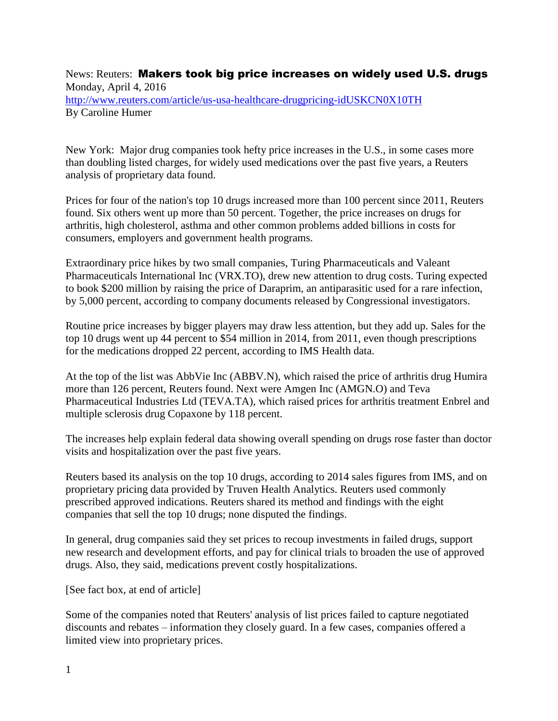News: Reuters: Makers took big price increases on widely used U.S. drugs Monday, April 4, 2016 <http://www.reuters.com/article/us-usa-healthcare-drugpricing-idUSKCN0X10TH> By Caroline Humer

New York: Major drug companies took hefty price increases in the U.S., in some cases more than doubling listed charges, for widely used medications over the past five years, a Reuters analysis of proprietary data found.

Prices for four of the nation's top 10 drugs increased more than 100 percent since 2011, Reuters found. Six others went up more than 50 percent. Together, the price increases on drugs for arthritis, high cholesterol, asthma and other common problems added billions in costs for consumers, employers and government health programs.

Extraordinary price hikes by two small companies, Turing Pharmaceuticals and Valeant Pharmaceuticals International Inc (VRX.TO), drew new attention to drug costs. Turing expected to book \$200 million by raising the price of Daraprim, an antiparasitic used for a rare infection, by 5,000 percent, according to company documents released by Congressional investigators.

Routine price increases by bigger players may draw less attention, but they add up. Sales for the top 10 drugs went up 44 percent to \$54 million in 2014, from 2011, even though prescriptions for the medications dropped 22 percent, according to IMS Health data.

At the top of the list was AbbVie Inc (ABBV.N), which raised the price of arthritis drug Humira more than 126 percent, Reuters found. Next were Amgen Inc (AMGN.O) and Teva Pharmaceutical Industries Ltd (TEVA.TA), which raised prices for arthritis treatment Enbrel and multiple sclerosis drug Copaxone by 118 percent.

The increases help explain federal data showing overall spending on drugs rose faster than doctor visits and hospitalization over the past five years.

Reuters based its analysis on the top 10 drugs, according to 2014 sales figures from IMS, and on proprietary pricing data provided by Truven Health Analytics. Reuters used commonly prescribed approved indications. Reuters shared its method and findings with the eight companies that sell the top 10 drugs; none disputed the findings.

In general, drug companies said they set prices to recoup investments in failed drugs, support new research and development efforts, and pay for clinical trials to broaden the use of approved drugs. Also, they said, medications prevent costly hospitalizations.

[See fact box, at end of article]

Some of the companies noted that Reuters' analysis of list prices failed to capture negotiated discounts and rebates – information they closely guard. In a few cases, companies offered a limited view into proprietary prices.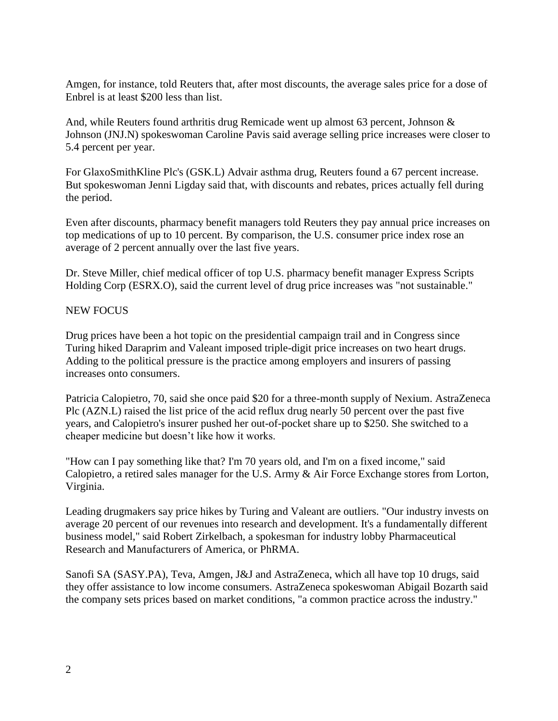Amgen, for instance, told Reuters that, after most discounts, the average sales price for a dose of Enbrel is at least \$200 less than list.

And, while Reuters found arthritis drug Remicade went up almost 63 percent, Johnson & Johnson (JNJ.N) spokeswoman Caroline Pavis said average selling price increases were closer to 5.4 percent per year.

For GlaxoSmithKline Plc's (GSK.L) Advair asthma drug, Reuters found a 67 percent increase. But spokeswoman Jenni Ligday said that, with discounts and rebates, prices actually fell during the period.

Even after discounts, pharmacy benefit managers told Reuters they pay annual price increases on top medications of up to 10 percent. By comparison, the U.S. consumer price index rose an average of 2 percent annually over the last five years.

Dr. Steve Miller, chief medical officer of top U.S. pharmacy benefit manager Express Scripts Holding Corp (ESRX.O), said the current level of drug price increases was "not sustainable."

## NEW FOCUS

Drug prices have been a hot topic on the presidential campaign trail and in Congress since Turing hiked Daraprim and Valeant imposed triple-digit price increases on two heart drugs. Adding to the political pressure is the practice among employers and insurers of passing increases onto consumers.

Patricia Calopietro, 70, said she once paid \$20 for a three-month supply of Nexium. AstraZeneca Plc (AZN.L) raised the list price of the acid reflux drug nearly 50 percent over the past five years, and Calopietro's insurer pushed her out-of-pocket share up to \$250. She switched to a cheaper medicine but doesn't like how it works.

"How can I pay something like that? I'm 70 years old, and I'm on a fixed income," said Calopietro, a retired sales manager for the U.S. Army & Air Force Exchange stores from Lorton, Virginia.

Leading drugmakers say price hikes by Turing and Valeant are outliers. "Our industry invests on average 20 percent of our revenues into research and development. It's a fundamentally different business model," said Robert Zirkelbach, a spokesman for industry lobby Pharmaceutical Research and Manufacturers of America, or PhRMA.

Sanofi SA (SASY.PA), Teva, Amgen, J&J and AstraZeneca, which all have top 10 drugs, said they offer assistance to low income consumers. AstraZeneca spokeswoman Abigail Bozarth said the company sets prices based on market conditions, "a common practice across the industry."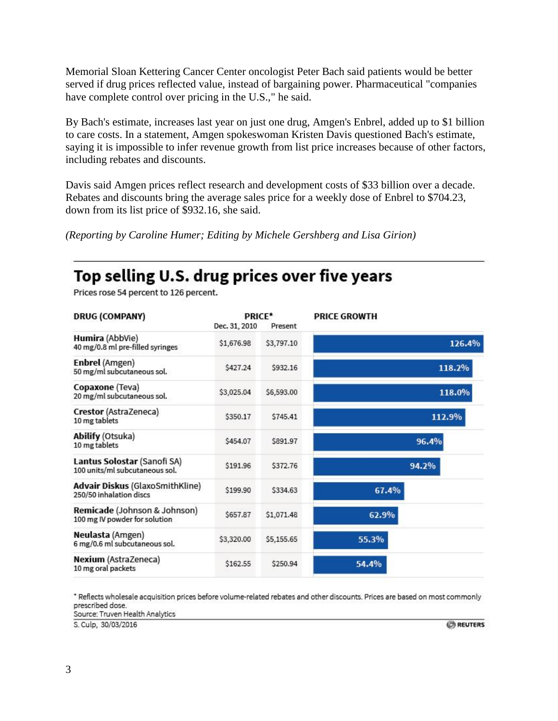Memorial Sloan Kettering Cancer Center oncologist Peter Bach said patients would be better served if drug prices reflected value, instead of bargaining power. Pharmaceutical "companies have complete control over pricing in the U.S.," he said.

By Bach's estimate, increases last year on just one drug, Amgen's Enbrel, added up to \$1 billion to care costs. In a statement, Amgen spokeswoman Kristen Davis questioned Bach's estimate, saying it is impossible to infer revenue growth from list price increases because of other factors, including rebates and discounts.

Davis said Amgen prices reflect research and development costs of \$33 billion over a decade. Rebates and discounts bring the average sales price for a weekly dose of Enbrel to \$704.23, down from its list price of \$932.16, she said.

*(Reporting by Caroline Humer; Editing by Michele Gershberg and Lisa Girion)*

## Top selling U.S. drug prices over five years

Prices rose 54 percent to 126 percent.

| <b>DRUG (COMPANY)</b>                                         | Dec. 31, 2010 | PRICE*<br>Present | <b>PRICE GROWTH</b> |
|---------------------------------------------------------------|---------------|-------------------|---------------------|
| Humira (AbbVie)<br>40 mg/0.8 ml pre-filled syringes           | \$1,676.98    | \$3,797.10        | 126.4%              |
| Enbrel (Amgen)<br>50 mg/ml subcutaneous sol.                  | \$427.24      | \$932.16          | 118.2%              |
| Copaxone (Teva)<br>20 mg/ml subcutaneous sol.                 | \$3,025.04    | \$6,593.00        | 118.0%              |
| Crestor (AstraZeneca)<br>10 mg tablets                        | \$350.17      | \$745.41          | 112.9%              |
| Abilify (Otsuka)<br>10 mg tablets                             | \$454.07      | \$891.97          | 96.4%               |
| Lantus Solostar (Sanofi SA)<br>100 units/ml subcutaneous sol. | \$191.96      | \$372.76          | 94.2%               |
| Advair Diskus (GlaxoSmithKline)<br>250/50 inhalation discs    | \$199.90      | \$334.63          | 67.4%               |
| Remicade (Johnson & Johnson)<br>100 mg IV powder for solution | \$657.87      | \$1,071.48        | 62.9%               |
| Neulasta (Amgen)<br>6 mg/0.6 ml subcutaneous sol.             | \$3,320.00    | \$5,155.65        | 55.3%               |
| Nexium (AstraZeneca)<br>10 mg oral packets                    | \$162.55      | \$250.94          | 54.4%               |

\* Reflects wholesale acquisition prices before volume-related rebates and other discounts. Prices are based on most commonly prescribed dose.

Source: Truven Health Analytics

S. Culp, 30/03/2016

**REUTERS**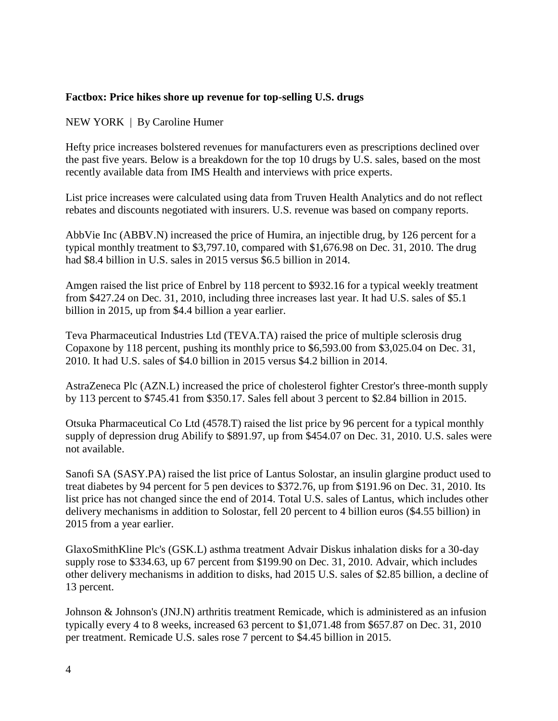## **Factbox: Price hikes shore up revenue for top-selling U.S. drugs**

NEW YORK | By Caroline Humer

Hefty price increases bolstered revenues for manufacturers even as prescriptions declined over the past five years. Below is a breakdown for the top 10 drugs by U.S. sales, based on the most recently available data from IMS Health and interviews with price experts.

List price increases were calculated using data from Truven Health Analytics and do not reflect rebates and discounts negotiated with insurers. U.S. revenue was based on company reports.

AbbVie Inc (ABBV.N) increased the price of Humira, an injectible drug, by 126 percent for a typical monthly treatment to \$3,797.10, compared with \$1,676.98 on Dec. 31, 2010. The drug had \$8.4 billion in U.S. sales in 2015 versus \$6.5 billion in 2014.

Amgen raised the list price of Enbrel by 118 percent to \$932.16 for a typical weekly treatment from \$427.24 on Dec. 31, 2010, including three increases last year. It had U.S. sales of \$5.1 billion in 2015, up from \$4.4 billion a year earlier.

Teva Pharmaceutical Industries Ltd (TEVA.TA) raised the price of multiple sclerosis drug Copaxone by 118 percent, pushing its monthly price to \$6,593.00 from \$3,025.04 on Dec. 31, 2010. It had U.S. sales of \$4.0 billion in 2015 versus \$4.2 billion in 2014.

AstraZeneca Plc (AZN.L) increased the price of cholesterol fighter Crestor's three-month supply by 113 percent to \$745.41 from \$350.17. Sales fell about 3 percent to \$2.84 billion in 2015.

Otsuka Pharmaceutical Co Ltd (4578.T) raised the list price by 96 percent for a typical monthly supply of depression drug Abilify to \$891.97, up from \$454.07 on Dec. 31, 2010. U.S. sales were not available.

Sanofi SA (SASY.PA) raised the list price of Lantus Solostar, an insulin glargine product used to treat diabetes by 94 percent for 5 pen devices to \$372.76, up from \$191.96 on Dec. 31, 2010. Its list price has not changed since the end of 2014. Total U.S. sales of Lantus, which includes other delivery mechanisms in addition to Solostar, fell 20 percent to 4 billion euros (\$4.55 billion) in 2015 from a year earlier.

GlaxoSmithKline Plc's (GSK.L) asthma treatment Advair Diskus inhalation disks for a 30-day supply rose to \$334.63, up 67 percent from \$199.90 on Dec. 31, 2010. Advair, which includes other delivery mechanisms in addition to disks, had 2015 U.S. sales of \$2.85 billion, a decline of 13 percent.

Johnson & Johnson's (JNJ.N) arthritis treatment Remicade, which is administered as an infusion typically every 4 to 8 weeks, increased 63 percent to \$1,071.48 from \$657.87 on Dec. 31, 2010 per treatment. Remicade U.S. sales rose 7 percent to \$4.45 billion in 2015.